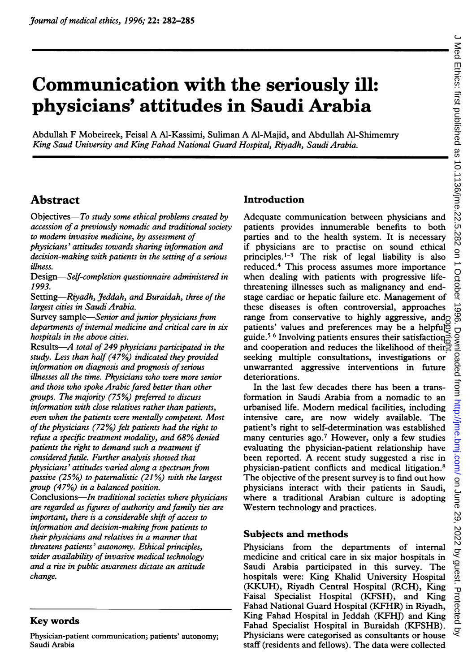# Communication with the seriously ill: physicians' attitudes in Saudi Arabia

Abdullah F Mobeireek, Feisal A Al-Kassimi, Suliman A Al-Majid, and Abdullah Al-Shimemry King Saud University and King Fahad National Guard Hospital, Riyadh, Saudi Arabia.

# Abstract

Objectives- $To$  study some ethical problems created by accession of a previously nomadic and traditional society to modem invasive medicine, by assessment of

physicians' attitudes towards sharing information and decision-making with patients in the setting of a serious illness.

Design-Self-completion questionnaire administered in 1993.

Setting-Riyadh, Jeddah, and Buraidah, three of the largest cities in Saudi Arabia.

Survey sample-Senior and junior physicians from departments of internal medicine and critical care in six hospitals in the above cities.

Results- $A$  total of 249 physicians participated in the study. Less than half (47%) indicated they provided information on diagnosis and prognosis of serious illnesses all the time. Physicians who were more senior and those who spoke Arabic fared better than other groups. The majority (75%) preferred to discuss information with close relatives rather than patients, even when the patients were mentally competent. Most of the physicians (72%) felt patients had the right to refuse a specific treatment modality, and 68% denied patients the right to demand such a treatment if considered futile. Further analysis showed that physicians' attitudes varied along a spectrum from passive (25%) to paternalistic (21 %) with the largest group (47%) in a balanced position. Conclusions-In traditional societies where physicians are regarded as figures of authority and family ties are important, there is a considerable shift of access to information and decision-making from patients to their physicians and relatives in a manner that

threatens patients' autonomy. Ethical principles, wider availability of invasive medical technology and a rise in public awareness dictate an attitude change.

## Introduction

Adequate communication between physicians and patients provides innumerable benefits to both parties and to the health system. It is necessary if physicians are to practise on sound ethical principles. 1-3 The risk of legal liability is also reduced.4 This process assumes more importance when dealing with patients with progressive lifethreatening illnesses such as malignancy and endstage cardiac or hepatic failure etc. Management of these diseases is often controversial, approaches range from conservative to highly aggressive, and patients' values and preferences may be a helpful guide.<sup>3</sup> <sup>6</sup> Involving patients ensures their satisfaction. and cooperation and reduces the likelihood of their $\overline{\Xi}$ seeking multiple consultations, investigations or unwarranted aggressive interventions in future deteriorations. copyright.

In the last few decades there has been a transformation in Saudi Arabia from a nomadic to an urbanised life. Modem medical facilities, including intensive care, are now widely available. The patient's right to self-determination was established many centuries ago.7 However, only a few studies evaluating the physician-patient relationship have been reported. A recent study suggested <sup>a</sup> rise in physician-patient conflicts and medical litigation.8 The objective of the present survey is to find out how physicians interact with their patients in Saudi, where a traditional Arabian culture is adopting Western technology and practices.

### Subjects and methods

Physicians from the departments of intemal medicine and critical care in six major hospitals in Saudi Arabia participated in this survey. The hospitals were: King Khalid University Hospital (KKUH), Riyadh Central Hospital (RCH), King Faisal Specialist Hospital (KFSH), and King Fahad National Guard Hospital (KFHR) in Riyadh, King Fahad Hospital in Jeddah (KFHJ) and King Fahad Specialist Hospital in Buraidah (KFSHB). Physicians were categorised as consultants or house staff (residents and fellows). The data were collected

Key words

Physician-patient communication; patients' autonomy; Saudi Arabia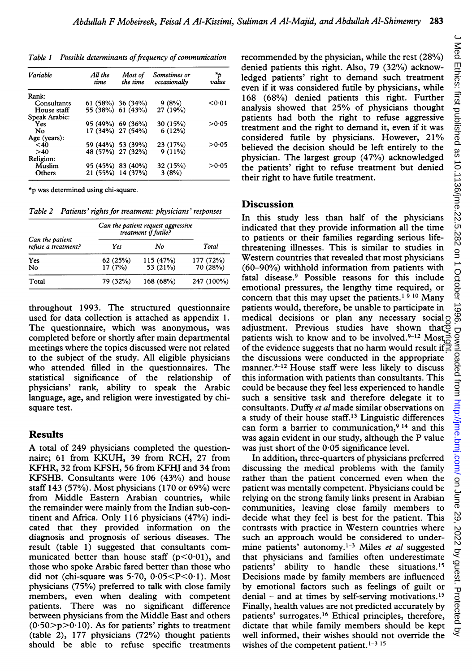| Table 1 Possible determinants of frequency of communication |  |  |
|-------------------------------------------------------------|--|--|
|-------------------------------------------------------------|--|--|

| Variable      | All the<br>time | Most of<br>the time | Sometimes or<br>occasionally | *p<br>value |
|---------------|-----------------|---------------------|------------------------------|-------------|
| Rank:         |                 |                     |                              |             |
| Consultants   |                 | $61(58%)$ 36 (34%)  | 9(8%)                        | < 0.01      |
| House staff   |                 | 55 (38%) 61 (43%)   | 27 (19%)                     |             |
| Speak Arabic: |                 |                     |                              |             |
| Yes           |                 | 95 (49%) 69 (36%)   | 30 (15%)                     | >0.05       |
| No            |                 | 17 (34%) 27 (54%)   | 6(12%)                       |             |
| Age (years):  |                 |                     |                              |             |
| $\leq 40$     |                 | 59 (44%) 53 (39%)   | 23 (17%)                     | > 0.05      |
| >40           |                 | 48 (57%) 27 (32%)   | $9(11\%)$                    |             |
| Religion:     |                 |                     |                              |             |
| Muslim        | 95 (45%)        | 83 (40%)            | 32 (15%)                     | > 0.05      |
| Others        |                 | 21 (55%) 14 (37%)   | 3(8%)                        |             |

\*p was determined using chi-square.

Table 2 Patients' rights for treatment: physicians' responses

| Can the patient<br>refuse a treatment? | Can the patient request aggressive<br>treatment if futile? |                      |                       |
|----------------------------------------|------------------------------------------------------------|----------------------|-----------------------|
|                                        | <b>Yes</b>                                                 | No                   | Total                 |
| Yes<br>No                              | 62(25%)<br>17(7%)                                          | 115 (47%)<br>53(21%) | 177 (72%)<br>70 (28%) |
| Total                                  | 79 (32%)                                                   | 168 (68%)            | 247 (100%)            |

throughout 1993. The structured questionnaire used for data collection is attached as appendix 1. The questionnaire, which was anonymous, was completed before or shortly after main departmental meetings where the topics discussed were not related to the subject of the study. All eligible physicians who attended filled in the questionnaires. The statistical significance of the relationship of physicians' rank, ability to speak the Arabic language, age, and religion were investigated by chisquare test.

#### Results

A total of 249 physicians completed the questionnaire; <sup>61</sup> from KKUH, 39 from RCH, 27 from KFHR, 32 from KFSH, 56 from KFHJ and 34 from KFSHB. Consultants were 106 (43%) and house staff 143 (57%). Most physicians (170 or 69%) were from Middle Eastem Arabian countries, while the remainder were mainly from the Indian sub-continent and Africa. Only 116 physicians (47%) indicated that they provided information on the diagnosis and prognosis of serious diseases. The result (table 1) suggested that consultants communicated better than house staff  $(p<0.01)$ , and those who spoke Arabic fared better than those who did not (chi-square was  $5.70, 0.05 < P < 0.1$ ). Most physicians (75%) preferred to talk with close family members, even when dealing with competent patients. There was no significant difference between physicians from the Middle East and others  $(0.50 > p > 0.10)$ . As for patients' rights to treatment (table 2), 177 physicians (72%) thought patients should be able to refuse specific treatments recommended by the physician, while the rest (28%) denied patients this right. Also, 79 (32%) acknowledged patients' right to demand such treatment even if it was considered futile by physicians, while 168 (68%) denied patients this right. Further analysis showed that 25% of physicians thought patients had both the right to refuse aggressive treatment and the right to demand it, even if it was considered futile by physicians. However, 21% believed the decision should be left entirely to the physician. The largest group (47%) acknowledged the patients' right to refuse treatment but denied their right to have futile treatment.

#### Discussion

In this study less than half of the physicians indicated that they provide information all the time to patients or their families regarding serious lifethreatening illnesses. This is similar to studies in Western countries that revealed that most physicians (60-90%) withhold information from patients with fatal disease.9 Possible reasons for this include emotional pressures, the lengthy time required, or concern that this may upset the patients.<sup>1910</sup> Many patients would, therefore, be unable to participate in medical decisions or plan any necessary social  $\alpha$ adjustment. Previous studies have shown that patients wish to know and to be involved.<sup>9-12</sup> Most of the evidence suggests that no harm would result if  $\bar{F}$ the discussions were conducted in the appropriate manner. $9-12$  House staff were less likely to discuss this information with patients than consultants. This could be because they feel less experienced to handle such a sensitive task and therefore delegate it to consultants. Duffy et al made similar observations on a study of their house staff.'3 Linguistic differences can form a barrier to communication,<sup>9 14</sup> and this was again evident in our study, although the P value was just short of the  $0.05$  significance level. copyright.

In addition, three-quarters of physicians preferred discussing the medical problems with the family rather than the patient concerned even when the patient was mentally competent. Physicians could be relying on the strong family links present in Arabian communities, leaving close family members to decide what they feel is best for the patient. This contrasts with practice in Western countries where such an approach would be considered to undermine patients' autonomy.<sup>1-3</sup> Miles et al suggested that physicians and families often underestimate patients' ability to handle these situations.'5 Decisions made by family members are influenced by emotional factors such as feelings of guilt or denial – and at times by self-serving motivations.<sup>15</sup> Finally, health values are not predicted accurately by patients' surrogates.'6 Ethical principles, therefore, dictate that while family members should be kept well informed, their wishes should not override the wishes of the competent patient. $1-3$  15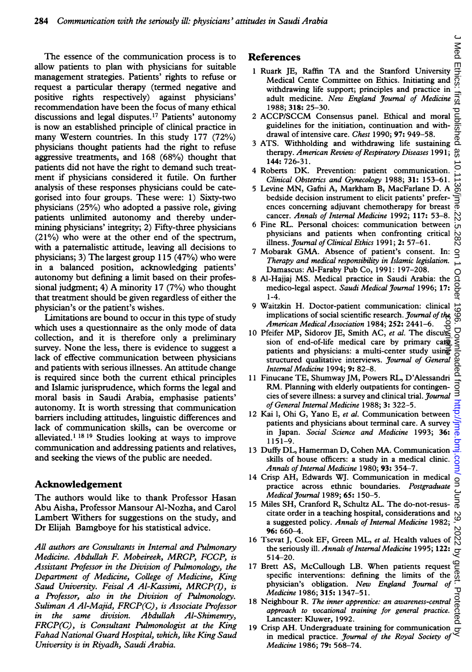The essence of the communication process is to allow patients to plan with physicians for suitable management strategies. Patients' rights to refuse or request a particular therapy (termed negative and positive rights respectively) against physicians' recommendation have been the focus of many ethical discussions and legal disputes.<sup>17</sup> Patients' autonomy is now an established principle of clinical practice in many Western countries. In this study 177 (72%) physicians thought patients had the right to refuse aggressive treatments, and 168 (68%) thought that patients did not have the right to demand such treatment if physicians considered it futile. On further analysis of these responses physicians could be categorised into four groups. These were: 1) Sixty-two physicians (25%) who adopted a passive role, giving patients unlimited autonomy and thereby undermining physicians' integrity; 2) Fifty-three physicians (21%) who were at the other end of the spectrum, with a paternalistic attitude, leaving all decisions to physicians; 3) The largest group 115 (47%) who were in a balanced position, acknowledging patients' autonomy but defining a limit based on their professional judgment; 4) A minority <sup>17</sup> (7%) who thought that treatment should be given regardless of either the physician's or the patient's wishes.

Limitations are bound to occur in this type of study which uses a questionnaire as the only mode of data collection, and it is therefore only a preliminary survey. None the less, there is evidence to suggest a lack of effective communication between physicians and patients with serious illnesses. An attitude change is required since both the current ethical principles and Islamic jurisprudence, which forms the legal and moral basis in Saudi Arabia, emphasise patients' autonomy. It is worth stressing that communication barriers including attitudes, linguistic differences and lack of communication skills, can be overcome or alleviated.' <sup>18</sup> <sup>19</sup> Studies looking at ways to improve communication and addressing patients and relatives, and seeking the views of the public are needed.

#### Acknowledgement

The authors would like to thank Professor Hasan Abu Aisha, Professor Mansour Al-Nozha, and Carol Lambert Withers for suggestions on the study, and Dr Elijah Bamgboye for his statistical advice.

All authors are Consultants in Internal and Pulmonary Medicine. Abdullah F. Mobeireek, MRCP, FCCP, is Assistant Professor in the Division of Pulmonology, the Department of Medicine, College of Medicine, King Saud University. Feisal A Al-Kassimi, MRCP(I), is a Professor, also in the Division of Pulmonology. Suliman A Al-Majid, FRCP(C), is Associate Professor<br>in the same division. Abdullah Al-Shimemrv, in the same division. Abdullah Al-Shimemry, FRCP(C), is Consultant Pulmonologist at the King Fahad National Guard Hospital, which, like King Saud University is in Riyadh, Saudi Arabia.

#### References

- <sup>1</sup> Ruark JE, Raffin TA and the Stanford University Medical Cente Committee on Ethics. Initiating and withdrawing life support; principles and practice in adult medicine. New England Journal of Medicine 1988; 318: 25-30.
- <sup>2</sup> ACCP/SCCM Consensus panel. Ethical and moral guidelines for the initiation, continuation and withdrawal of intensive care. Chest 1990; 97: 949-58.
- 3 ATS. Withholding and withdrawing life sustaining therapy. American Review of Respiratory Diseases 1991; 144: 726-31.
- 4 Roberts DK. Prevention: patient communication. Clinical Obstetrics and Gynecology 1988; 31: 153-61.
- <sup>5</sup> Levine MN, Gafni A, Markham B, MacFarlane D. A bedside decision instrument to elicit patients' preferences concerning adjuvant chemotherapy for breast  $\vec{\theta}$ cancer. Annals of Internal Medicine 1992; 117: 53-8.
- 6 Fine RL. Personal choices: communication between physicians and patients when confronting critical illness. Journal of Clinical Ethics 1991; 2: 57-61.
- <sup>7</sup> Mobarak GMA. Absence of patient's consent. In: Therapy and medical responsibility in Islamic legislation. Damascus: Al-Faraby Pub Co, 1991: 197-208.
- 8 Al-Hajjaj MS. Medical practice in Saudi Arabia: the medico-legal aspect. Saudi Medical Journal 1996; 17: 1-4.
- 9 Waitzkin H. Doctor-patient communication: clinical implications of social scientific research. Journal of the American Medical Association 1984; 252: 2441-6.
- 10 Pfeifer MP, Sidorov JE, Smith AC, et al. The discus sion of end-of-life medical care by primary care patients and physicians: a multi-center study using structured qualitative interviews. *Journal of General* Internal Medicine 1994; 9: 82-8. copyright.
- <sup>11</sup> Finucane TE, Shumway JM, Powers RL, D'Alessandri RM. Planning with elderly outpatients for contingencies of severe illness: a survey and clinical trial. *Journal* of General Internal Medicine 1988; 3: 322-5.
- 12 Kai 1, Ohi G, Yano E, et al. Communication between patients and physicians about terminal care. A survey in Japan. Social Science and Medicine 1993; 36: 1151-9.
- 13 Duffy DL, Hamerman D, Cohen MA. Communication skills of house officers: a study in a medical clinic. Annals of Internal Medicine 1980; 93: 354-7.
- 14 Crisp AH, Edwards WJ. Communication in medical practice across ethnic boundaries. Postgraduate Medical Journal 1989; 65: 150-5.
- 15 Miles SH, Cranford R, Schultz AL. The do-not-resuscitate order in a teaching hospital, considerations and a suggested policy. Annals of Internal Medicine 1982; 96: 660-4.
- 16 Tsevat J, Cook EF, Green ML, et al. Health values of the seriously ill. Annals of Internal Medicine 1995; 122: 514-20.
- 17 Brett AS, McCullough LB. When patients request specific interventions: defining the limits of the physician's obligation. New England Journal of Medicine 1986; 315: 1347-51.
- 18 Neighbour R. The inner apprentice: an awareness-central approach to vocational training for general practice. Lancaster: Kluwer, 1992.
- 19 Crisp AH. Undergraduate training for communication in medical practice. Journal of the Royal Society of Medicine 1986; 79: 568-74.